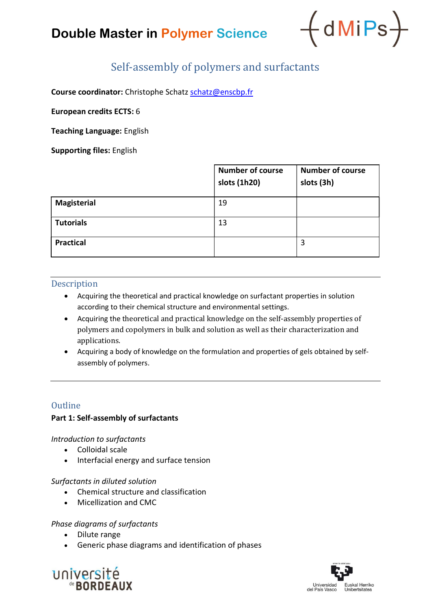



# Self-assembly of polymers and surfactants

Course coordinator: Christophe Schatz schatz@enscbp.fr

European credits ECTS: 6

Teaching Language: English

Supporting files: English

|                    | <b>Number of course</b><br>slots (1h20) | <b>Number of course</b><br>slots (3h) |
|--------------------|-----------------------------------------|---------------------------------------|
| <b>Magisterial</b> | 19                                      |                                       |
| <b>Tutorials</b>   | 13                                      |                                       |
| <b>Practical</b>   |                                         | 3                                     |

# Description

- Acquiring the theoretical and practical knowledge on surfactant properties in solution according to their chemical structure and environmental settings.
- Acquiring the theoretical and practical knowledge on the self-assembly properties of polymers and copolymers in bulk and solution as well as their characterization and applications.
- Acquiring a body of knowledge on the formulation and properties of gels obtained by selfassembly of polymers.

# **Outline**

# Part 1: Self-assembly of surfactants

#### Introduction to surfactants

- Colloidal scale
- Interfacial energy and surface tension

#### Surfactants in diluted solution

- Chemical structure and classification
- Micellization and CMC

# Phase diagrams of surfactants

- Dilute range
- Generic phase diagrams and identification of phases



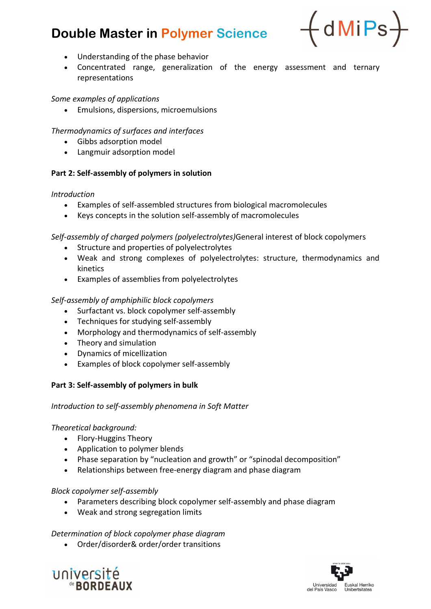# Double Master in Polymer Science



- Understanding of the phase behavior
- Concentrated range, generalization of the energy assessment and ternary representations

#### Some examples of applications

Emulsions, dispersions, microemulsions

#### Thermodynamics of surfaces and interfaces

- Gibbs adsorption model
- Langmuir adsorption model

#### Part 2: Self-assembly of polymers in solution

#### Introduction

- Examples of self-assembled structures from biological macromolecules
- Keys concepts in the solution self-assembly of macromolecules

# Self-assembly of charged polymers (polyelectrolytes)General interest of block copolymers

- Structure and properties of polyelectrolytes
- Weak and strong complexes of polyelectrolytes: structure, thermodynamics and kinetics
- Examples of assemblies from polyelectrolytes

#### Self-assembly of amphiphilic block copolymers

- Surfactant vs. block copolymer self-assembly
- Techniques for studying self-assembly
- Morphology and thermodynamics of self-assembly
- Theory and simulation
- Dynamics of micellization
- Examples of block copolymer self-assembly

# Part 3: Self-assembly of polymers in bulk

#### Introduction to self-assembly phenomena in Soft Matter

#### Theoretical background:

- Flory-Huggins Theory
- Application to polymer blends
- Phase separation by "nucleation and growth" or "spinodal decomposition"
- Relationships between free-energy diagram and phase diagram

#### Block copolymer self-assembly

- Parameters describing block copolymer self-assembly and phase diagram
- Weak and strong segregation limits

# Determination of block copolymer phase diagram

Order/disorder& order/order transitions